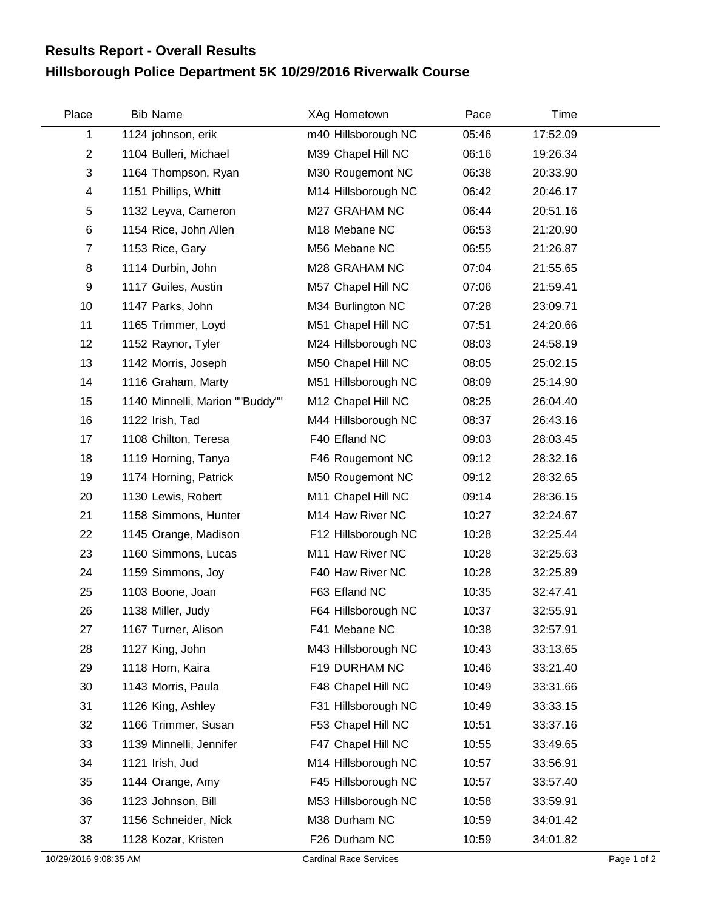## **Hillsborough Police Department 5K 10/29/2016 Riverwalk Course Results Report - Overall Results**

| Place                   | <b>Bib Name</b>                 | XAg Hometown        | Pace  | Time     |  |
|-------------------------|---------------------------------|---------------------|-------|----------|--|
| 1                       | 1124 johnson, erik              | m40 Hillsborough NC | 05:46 | 17:52.09 |  |
| $\overline{2}$          | 1104 Bulleri, Michael           | M39 Chapel Hill NC  | 06:16 | 19:26.34 |  |
| 3                       | 1164 Thompson, Ryan             | M30 Rougemont NC    | 06:38 | 20:33.90 |  |
| $\overline{\mathbf{4}}$ | 1151 Phillips, Whitt            | M14 Hillsborough NC | 06:42 | 20:46.17 |  |
| 5                       | 1132 Leyva, Cameron             | M27 GRAHAM NC       | 06:44 | 20:51.16 |  |
| $\,6$                   | 1154 Rice, John Allen           | M18 Mebane NC       | 06:53 | 21:20.90 |  |
| $\overline{7}$          | 1153 Rice, Gary                 | M56 Mebane NC       | 06:55 | 21:26.87 |  |
| 8                       | 1114 Durbin, John               | M28 GRAHAM NC       | 07:04 | 21:55.65 |  |
| 9                       | 1117 Guiles, Austin             | M57 Chapel Hill NC  | 07:06 | 21:59.41 |  |
| 10                      | 1147 Parks, John                | M34 Burlington NC   | 07:28 | 23:09.71 |  |
| 11                      | 1165 Trimmer, Loyd              | M51 Chapel Hill NC  | 07:51 | 24:20.66 |  |
| 12                      | 1152 Raynor, Tyler              | M24 Hillsborough NC | 08:03 | 24:58.19 |  |
| 13                      | 1142 Morris, Joseph             | M50 Chapel Hill NC  | 08:05 | 25:02.15 |  |
| 14                      | 1116 Graham, Marty              | M51 Hillsborough NC | 08:09 | 25:14.90 |  |
| 15                      | 1140 Minnelli, Marion ""Buddy"" | M12 Chapel Hill NC  | 08:25 | 26:04.40 |  |
| 16                      | 1122 Irish, Tad                 | M44 Hillsborough NC | 08:37 | 26:43.16 |  |
| 17                      | 1108 Chilton, Teresa            | F40 Efland NC       | 09:03 | 28:03.45 |  |
| 18                      | 1119 Horning, Tanya             | F46 Rougemont NC    | 09:12 | 28:32.16 |  |
| 19                      | 1174 Horning, Patrick           | M50 Rougemont NC    | 09:12 | 28:32.65 |  |
| 20                      | 1130 Lewis, Robert              | M11 Chapel Hill NC  | 09:14 | 28:36.15 |  |
| 21                      | 1158 Simmons, Hunter            | M14 Haw River NC    | 10:27 | 32:24.67 |  |
| 22                      | 1145 Orange, Madison            | F12 Hillsborough NC | 10:28 | 32:25.44 |  |
| 23                      | 1160 Simmons, Lucas             | M11 Haw River NC    | 10:28 | 32:25.63 |  |
| 24                      | 1159 Simmons, Joy               | F40 Haw River NC    | 10:28 | 32:25.89 |  |
| 25                      | 1103 Boone, Joan                | F63 Efland NC       | 10:35 | 32:47.41 |  |
| 26                      | 1138 Miller, Judy               | F64 Hillsborough NC | 10:37 | 32:55.91 |  |
| 27                      | 1167 Turner, Alison             | F41 Mebane NC       | 10:38 | 32:57.91 |  |
| 28                      | 1127 King, John                 | M43 Hillsborough NC | 10:43 | 33:13.65 |  |
| 29                      | 1118 Horn, Kaira                | F19 DURHAM NC       | 10:46 | 33:21.40 |  |
| 30                      | 1143 Morris, Paula              | F48 Chapel Hill NC  | 10:49 | 33:31.66 |  |
| 31                      | 1126 King, Ashley               | F31 Hillsborough NC | 10:49 | 33:33.15 |  |
| 32                      | 1166 Trimmer, Susan             | F53 Chapel Hill NC  | 10:51 | 33:37.16 |  |
| 33                      | 1139 Minnelli, Jennifer         | F47 Chapel Hill NC  | 10:55 | 33:49.65 |  |
| 34                      | 1121 Irish, Jud                 | M14 Hillsborough NC | 10:57 | 33:56.91 |  |
| 35                      | 1144 Orange, Amy                | F45 Hillsborough NC | 10:57 | 33:57.40 |  |
| 36                      | 1123 Johnson, Bill              | M53 Hillsborough NC | 10:58 | 33:59.91 |  |
| 37                      | 1156 Schneider, Nick            | M38 Durham NC       | 10:59 | 34:01.42 |  |
| 38                      | 1128 Kozar, Kristen             | F26 Durham NC       | 10:59 | 34:01.82 |  |